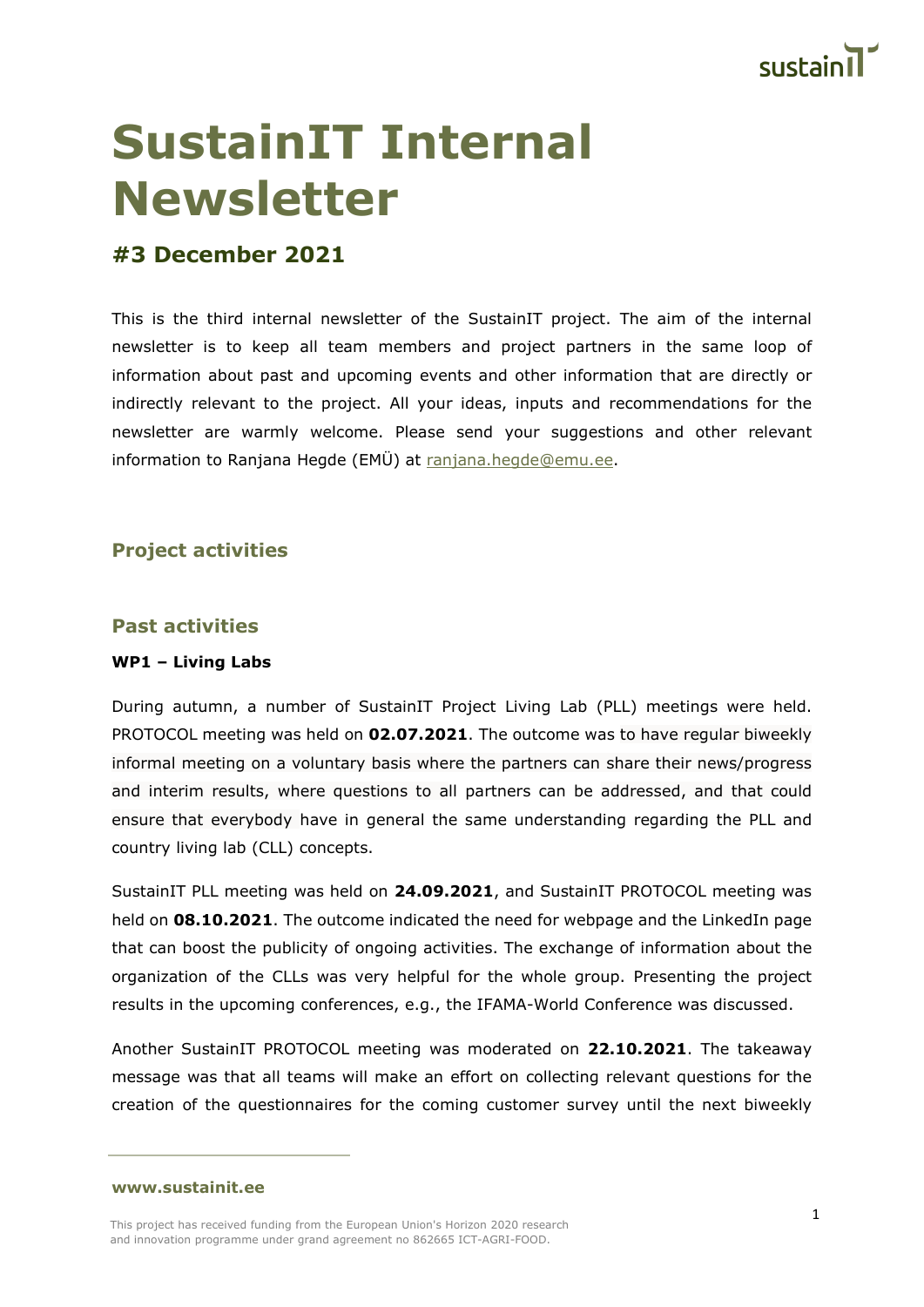

# **SustainIT Internal Newsletter**

# **#3 December 2021**

This is the third internal newsletter of the SustainIT project. The aim of the internal newsletter is to keep all team members and project partners in the same loop of information about past and upcoming events and other information that are directly or indirectly relevant to the project. All your ideas, inputs and recommendations for the newsletter are warmly welcome. Please send your suggestions and other relevant information to Ranjana Hegde (EMÜ) at [ranjana.hegde@emu.ee.](mailto:ranjana.hegde@emu.ee)

## **Project activities**

## **Past activities**

### **WP1 – Living Labs**

During autumn, a number of SustainIT Project Living Lab (PLL) meetings were held. PROTOCOL meeting was held on **02.07.2021**. The outcome was to have regular biweekly informal meeting on a voluntary basis where the partners can share their news/progress and interim results, where questions to all partners can be addressed, and that could ensure that everybody have in general the same understanding regarding the PLL and country living lab (CLL) concepts.

SustainIT PLL meeting was held on **24.09.2021**, and SustainIT PROTOCOL meeting was held on **08.10.2021**. The outcome indicated the need for webpage and the LinkedIn page that can boost the publicity of ongoing activities. The exchange of information about the organization of the CLLs was very helpful for the whole group. Presenting the project results in the upcoming conferences, e.g., the IFAMA-World Conference was discussed.

Another SustainIT PROTOCOL meeting was moderated on **22.10.2021**. The takeaway message was that all teams will make an effort on collecting relevant questions for the creation of the questionnaires for the coming customer survey until the next biweekly

**[www.sustainit.ee](http://www.sustainit.ee/)**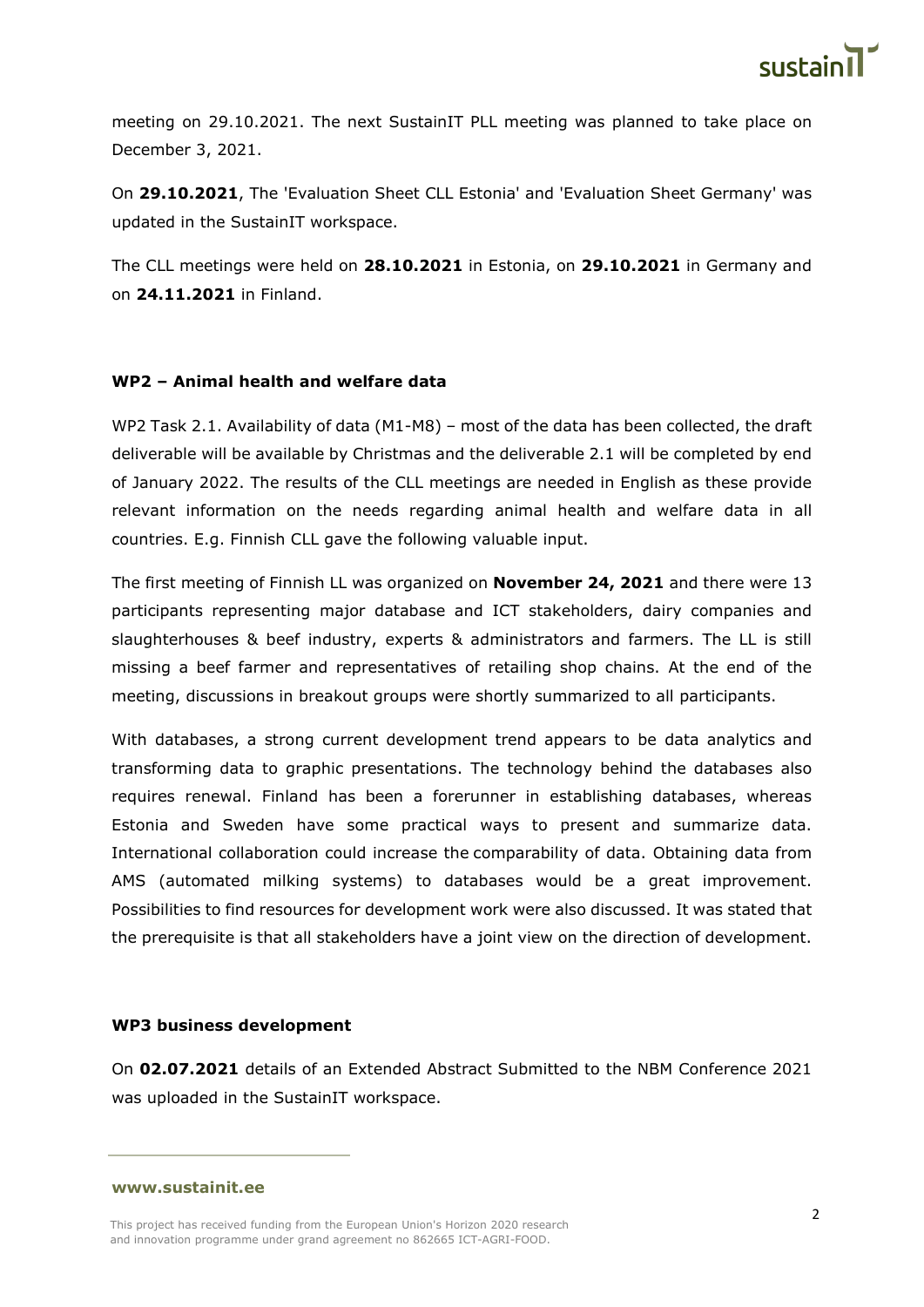

meeting on 29.10.2021. The next SustainIT PLL meeting was planned to take place on December 3, 2021.

On **29.10.2021**, The 'Evaluation Sheet CLL Estonia' and 'Evaluation Sheet Germany' was updated in the SustainIT workspace.

The CLL meetings were held on **28.10.2021** in Estonia, on **29.10.2021** in Germany and on **24.11.2021** in Finland.

#### **WP2 – Animal health and welfare data**

WP2 Task 2.1. Availability of data (M1-M8) – most of the data has been collected, the draft deliverable will be available by Christmas and the deliverable 2.1 will be completed by end of January 2022. The results of the CLL meetings are needed in English as these provide relevant information on the needs regarding animal health and welfare data in all countries. E.g. Finnish CLL gave the following valuable input.

The first meeting of Finnish LL was organized on **November 24, 2021** and there were 13 participants representing major database and ICT stakeholders, dairy companies and slaughterhouses & beef industry, experts & administrators and farmers. The LL is still missing a beef farmer and representatives of retailing shop chains. At the end of the meeting, discussions in breakout groups were shortly summarized to all participants.

With databases, a strong current development trend appears to be data analytics and transforming data to graphic presentations. The technology behind the databases also requires renewal. Finland has been a forerunner in establishing databases, whereas Estonia and Sweden have some practical ways to present and summarize data. International collaboration could increase the comparability of data. Obtaining data from AMS (automated milking systems) to databases would be a great improvement. Possibilities to find resources for development work were also discussed. It was stated that the prerequisite is that all stakeholders have a joint view on the direction of development.

#### **WP3 business development**

On **02.07.2021** details of an Extended Abstract Submitted to the NBM Conference 2021 was uploaded in the SustainIT workspace.

**[www.sustainit.ee](http://www.sustainit.ee/)**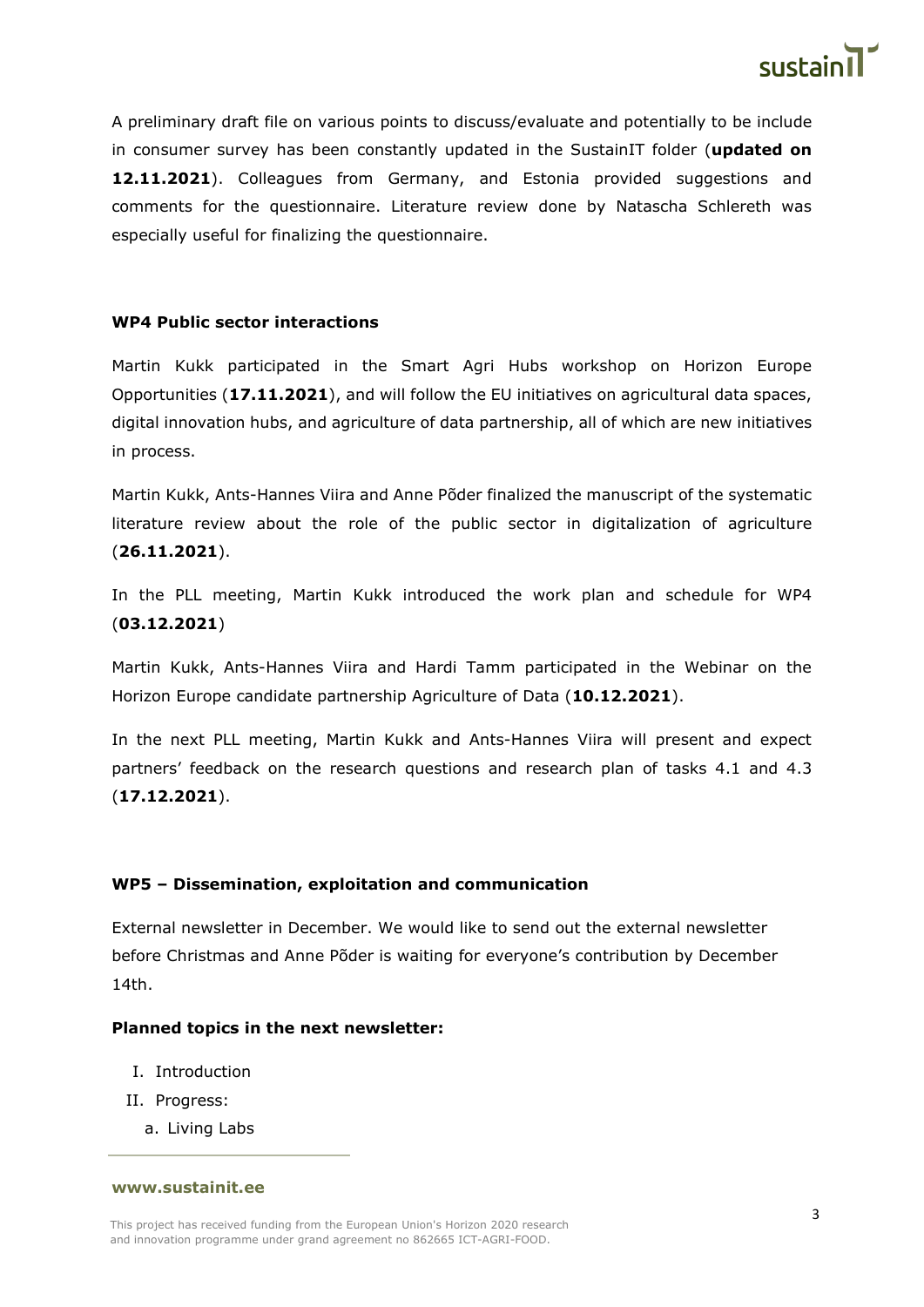

A preliminary draft file on various points to discuss/evaluate and potentially to be include in consumer survey has been constantly updated in the SustainIT folder (**updated on 12.11.2021**). Colleagues from Germany, and Estonia provided suggestions and comments for the questionnaire. Literature review done by Natascha Schlereth was especially useful for finalizing the questionnaire.

#### **WP4 Public sector interactions**

Martin Kukk participated in the Smart Agri Hubs workshop on Horizon Europe Opportunities (**17.11.2021**), and will follow the EU initiatives on agricultural data spaces, digital innovation hubs, and agriculture of data partnership, all of which are new initiatives in process.

Martin Kukk, Ants-Hannes Viira and Anne Põder finalized the manuscript of the systematic literature review about the role of the public sector in digitalization of agriculture (**26.11.2021**).

In the PLL meeting, Martin Kukk introduced the work plan and schedule for WP4 (**03.12.2021**)

Martin Kukk, Ants-Hannes Viira and Hardi Tamm participated in the Webinar on the Horizon Europe candidate partnership Agriculture of Data (**10.12.2021**).

In the next PLL meeting, Martin Kukk and Ants-Hannes Viira will present and expect partners' feedback on the research questions and research plan of tasks 4.1 and 4.3 (**17.12.2021**).

### **WP5 – Dissemination, exploitation and communication**

External newsletter in December. We would like to send out the external newsletter before Christmas and Anne Põder is waiting for everyone's contribution by December 14th.

#### **Planned topics in the next newsletter:**

- I. Introduction
- II. Progress:
	- a. Living Labs

#### **[www.sustainit.ee](http://www.sustainit.ee/)**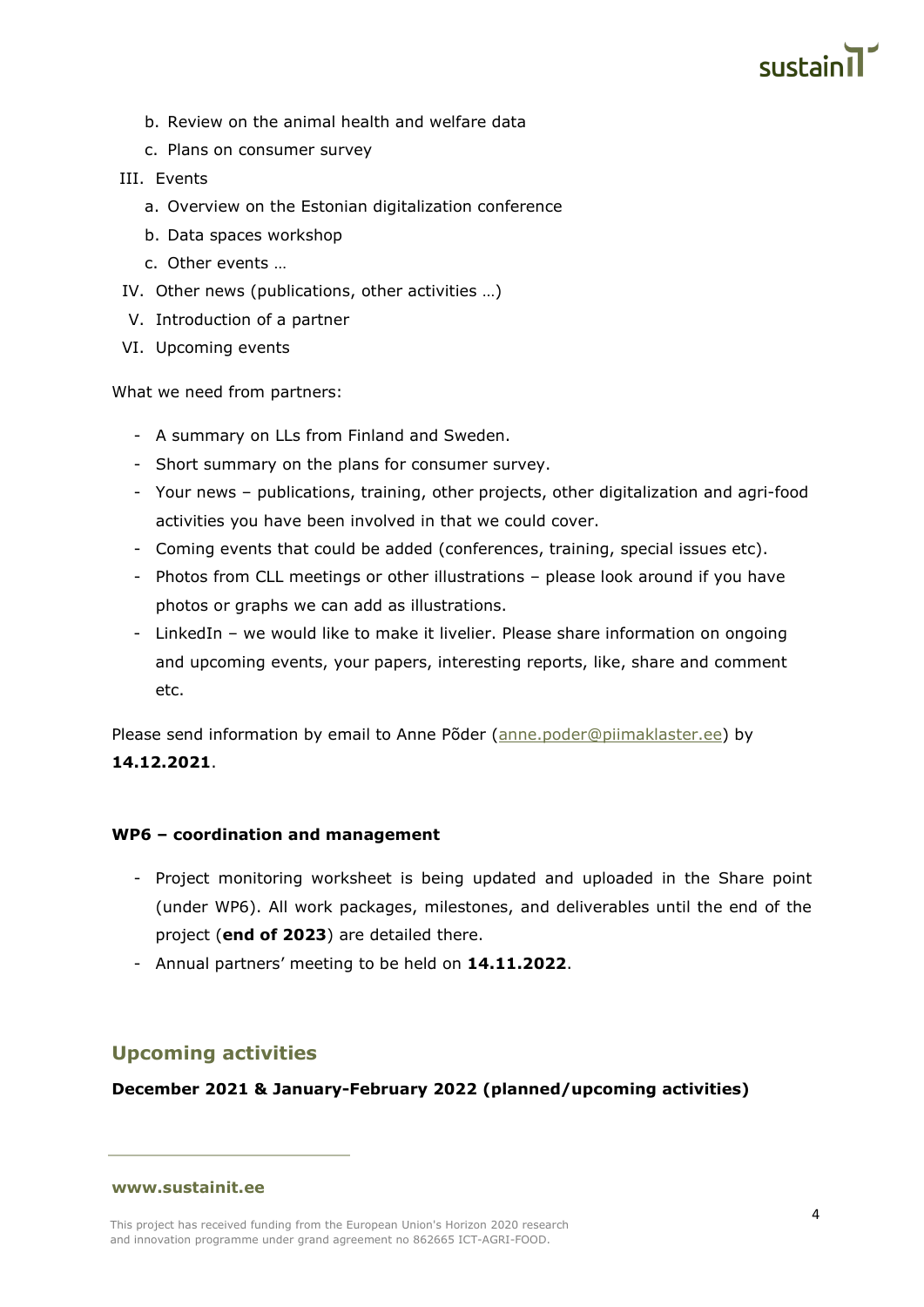

- b. Review on the animal health and welfare data
- c. Plans on consumer survey

#### III. Events

- a. Overview on the Estonian digitalization conference
- b. Data spaces workshop
- c. Other events …
- IV. Other news (publications, other activities …)
- V. Introduction of a partner
- VI. Upcoming events

What we need from partners:

- A summary on LLs from Finland and Sweden.
- Short summary on the plans for consumer survey.
- Your news publications, training, other projects, other digitalization and agri-food activities you have been involved in that we could cover.
- Coming events that could be added (conferences, training, special issues etc).
- Photos from CLL meetings or other illustrations please look around if you have photos or graphs we can add as illustrations.
- LinkedIn we would like to make it livelier. Please share information on ongoing and upcoming events, your papers, interesting reports, like, share and comment etc.

Please send information by email to Anne Põder [\(anne.poder@piimaklaster.ee\)](mailto:anne.poder@piimaklaster.ee) by **14.12.2021**.

#### **WP6 – coordination and management**

- Project monitoring worksheet is being updated and uploaded in the Share point (under WP6). All work packages, milestones, and deliverables until the end of the project (**end of 2023**) are detailed there.
- Annual partners' meeting to be held on **14.11.2022**.

## **Upcoming activities**

**December 2021 & January-February 2022 (planned/upcoming activities)**

#### **[www.sustainit.ee](http://www.sustainit.ee/)**